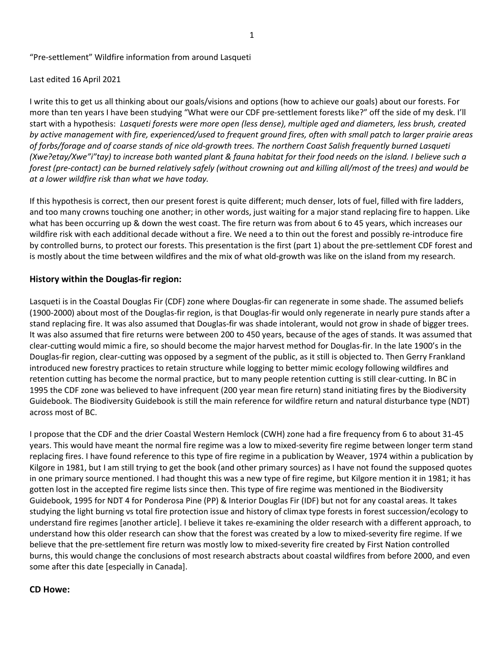### "Pre-settlement" Wildfire information from around Lasqueti

#### Last edited 16 April 2021

I write this to get us all thinking about our goals/visions and options (how to achieve our goals) about our forests. For more than ten years I have been studying "What were our CDF pre-settlement forests like?" off the side of my desk. I'll start with a hypothesis: Lasqueti forests were more open (less dense), multiple aged and diameters, less brush, created by active management with fire, experienced/used to frequent ground fires, often with small patch to larger prairie areas of forbs/forage and of coarse stands of nice old-growth trees. The northern Coast Salish frequently burned Lasqueti (Xwe?etay/Xwe"i"tay) to increase both wanted plant & fauna habitat for their food needs on the island. I believe such a forest (pre-contact) can be burned relatively safely (without crowning out and killing all/most of the trees) and would be at a lower wildfire risk than what we have today.

If this hypothesis is correct, then our present forest is quite different; much denser, lots of fuel, filled with fire ladders, and too many crowns touching one another; in other words, just waiting for a major stand replacing fire to happen. Like what has been occurring up & down the west coast. The fire return was from about 6 to 45 years, which increases our wildfire risk with each additional decade without a fire. We need a to thin out the forest and possibly re-introduce fire by controlled burns, to protect our forests. This presentation is the first (part 1) about the pre-settlement CDF forest and is mostly about the time between wildfires and the mix of what old-growth was like on the island from my research.

### History within the Douglas-fir region:

Lasqueti is in the Coastal Douglas Fir (CDF) zone where Douglas-fir can regenerate in some shade. The assumed beliefs (1900-2000) about most of the Douglas-fir region, is that Douglas-fir would only regenerate in nearly pure stands after a stand replacing fire. It was also assumed that Douglas-fir was shade intolerant, would not grow in shade of bigger trees. It was also assumed that fire returns were between 200 to 450 years, because of the ages of stands. It was assumed that clear-cutting would mimic a fire, so should become the major harvest method for Douglas-fir. In the late 1900's in the Douglas-fir region, clear-cutting was opposed by a segment of the public, as it still is objected to. Then Gerry Frankland introduced new forestry practices to retain structure while logging to better mimic ecology following wildfires and retention cutting has become the normal practice, but to many people retention cutting is still clear-cutting. In BC in 1995 the CDF zone was believed to have infrequent (200 year mean fire return) stand initiating fires by the Biodiversity Guidebook. The Biodiversity Guidebook is still the main reference for wildfire return and natural disturbance type (NDT) across most of BC.

I propose that the CDF and the drier Coastal Western Hemlock (CWH) zone had a fire frequency from 6 to about 31-45 years. This would have meant the normal fire regime was a low to mixed-severity fire regime between longer term stand replacing fires. I have found reference to this type of fire regime in a publication by Weaver, 1974 within a publication by Kilgore in 1981, but I am still trying to get the book (and other primary sources) as I have not found the supposed quotes in one primary source mentioned. I had thought this was a new type of fire regime, but Kilgore mention it in 1981; it has gotten lost in the accepted fire regime lists since then. This type of fire regime was mentioned in the Biodiversity Guidebook, 1995 for NDT 4 for Ponderosa Pine (PP) & Interior Douglas Fir (IDF) but not for any coastal areas. It takes studying the light burning vs total fire protection issue and history of climax type forests in forest succession/ecology to understand fire regimes [another article]. I believe it takes re-examining the older research with a different approach, to understand how this older research can show that the forest was created by a low to mixed-severity fire regime. If we believe that the pre-settlement fire return was mostly low to mixed-severity fire created by First Nation controlled burns, this would change the conclusions of most research abstracts about coastal wildfires from before 2000, and even some after this date [especially in Canada].

#### CD Howe: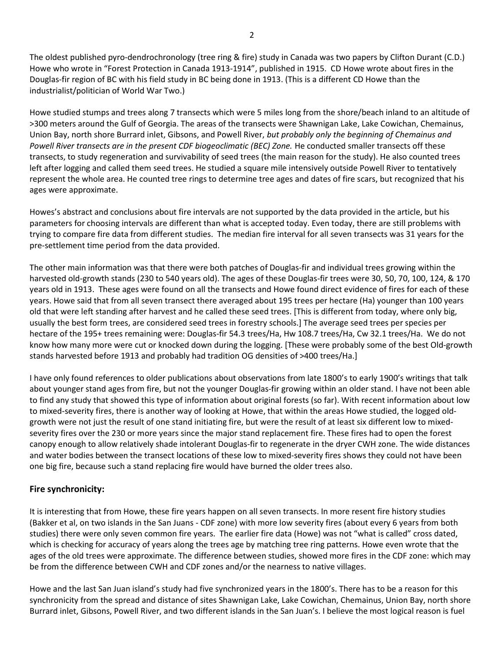The oldest published pyro-dendrochronology (tree ring & fire) study in Canada was two papers by Clifton Durant (C.D.) Howe who wrote in "Forest Protection in Canada 1913-1914", published in 1915. CD Howe wrote about fires in the Douglas-fir region of BC with his field study in BC being done in 1913. (This is a different CD Howe than the industrialist/politician of World War Two.)

Howe studied stumps and trees along 7 transects which were 5 miles long from the shore/beach inland to an altitude of >300 meters around the Gulf of Georgia. The areas of the transects were Shawnigan Lake, Lake Cowichan, Chemainus, Union Bay, north shore Burrard inlet, Gibsons, and Powell River, but probably only the beginning of Chemainus and Powell River transects are in the present CDF biogeoclimatic (BEC) Zone. He conducted smaller transects off these transects, to study regeneration and survivability of seed trees (the main reason for the study). He also counted trees left after logging and called them seed trees. He studied a square mile intensively outside Powell River to tentatively represent the whole area. He counted tree rings to determine tree ages and dates of fire scars, but recognized that his ages were approximate.

Howes's abstract and conclusions about fire intervals are not supported by the data provided in the article, but his parameters for choosing intervals are different than what is accepted today. Even today, there are still problems with trying to compare fire data from different studies. The median fire interval for all seven transects was 31 years for the pre-settlement time period from the data provided.

The other main information was that there were both patches of Douglas-fir and individual trees growing within the harvested old-growth stands (230 to 540 years old). The ages of these Douglas-fir trees were 30, 50, 70, 100, 124, & 170 years old in 1913. These ages were found on all the transects and Howe found direct evidence of fires for each of these years. Howe said that from all seven transect there averaged about 195 trees per hectare (Ha) younger than 100 years old that were left standing after harvest and he called these seed trees. [This is different from today, where only big, usually the best form trees, are considered seed trees in forestry schools.] The average seed trees per species per hectare of the 195+ trees remaining were: Douglas-fir 54.3 trees/Ha, Hw 108.7 trees/Ha, Cw 32.1 trees/Ha. We do not know how many more were cut or knocked down during the logging. [These were probably some of the best Old-growth stands harvested before 1913 and probably had tradition OG densities of >400 trees/Ha.]

I have only found references to older publications about observations from late 1800's to early 1900's writings that talk about younger stand ages from fire, but not the younger Douglas-fir growing within an older stand. I have not been able to find any study that showed this type of information about original forests (so far). With recent information about low to mixed-severity fires, there is another way of looking at Howe, that within the areas Howe studied, the logged oldgrowth were not just the result of one stand initiating fire, but were the result of at least six different low to mixedseverity fires over the 230 or more years since the major stand replacement fire. These fires had to open the forest canopy enough to allow relatively shade intolerant Douglas-fir to regenerate in the dryer CWH zone. The wide distances and water bodies between the transect locations of these low to mixed-severity fires shows they could not have been one big fire, because such a stand replacing fire would have burned the older trees also.

## Fire synchronicity:

It is interesting that from Howe, these fire years happen on all seven transects. In more resent fire history studies (Bakker et al, on two islands in the San Juans - CDF zone) with more low severity fires (about every 6 years from both studies) there were only seven common fire years. The earlier fire data (Howe) was not "what is called" cross dated, which is checking for accuracy of years along the trees age by matching tree ring patterns. Howe even wrote that the ages of the old trees were approximate. The difference between studies, showed more fires in the CDF zone: which may be from the difference between CWH and CDF zones and/or the nearness to native villages.

Howe and the last San Juan island's study had five synchronized years in the 1800's. There has to be a reason for this synchronicity from the spread and distance of sites Shawnigan Lake, Lake Cowichan, Chemainus, Union Bay, north shore Burrard inlet, Gibsons, Powell River, and two different islands in the San Juan's. I believe the most logical reason is fuel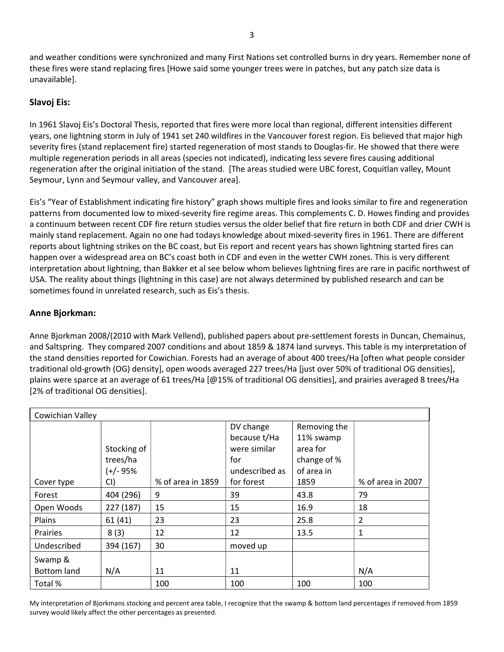and weather conditions were synchronized and many First Nations set controlled burns in dry years. Remember none of these fires were stand replacing fires [Howe said some younger trees were in patches, but any patch size data is unavailable].

# Slavoj Eis:

In 1961 Slavoj Eis's Doctoral Thesis, reported that fires were more local than regional, different intensities different years, one lightning storm in July of 1941 set 240 wildfires in the Vancouver forest region. Eis believed that major high severity fires (stand replacement fire) started regeneration of most stands to Douglas-fir. He showed that there were multiple regeneration periods in all areas (species not indicated), indicating less severe fires causing additional regeneration after the original initiation of the stand. [The areas studied were UBC forest, Coquitlan valley, Mount Seymour, Lynn and Seymour valley, and Vancouver area].

Eis's "Year of Establishment indicating fire history" graph shows multiple fires and looks similar to fire and regeneration patterns from documented low to mixed-severity fire regime areas. This complements C. D. Howes finding and provides a continuum between recent CDF fire return studies versus the older belief that fire return in both CDF and drier CWH is mainly stand replacement. Again no one had todays knowledge about mixed-severity fires in 1961. There are different reports about lightning strikes on the BC coast, but Eis report and recent years has shown lightning started fires can happen over a widespread area on BC's coast both in CDF and even in the wetter CWH zones. This is very different interpretation about lightning, than Bakker et al see below whom believes lightning fires are rare in pacific northwest of USA. The reality about things (lightning in this case) are not always determined by published research and can be sometimes found in unrelated research, such as Eis's thesis.

# Anne Bjorkman:

Anne Bjorkman 2008/(2010 with Mark Vellend), published papers about pre-settlement forests in Duncan, Chemainus, and Saltspring. They compared 2007 conditions and about 1859 & 1874 land surveys. This table is my interpretation of the stand densities reported for Cowichian. Forests had an average of about 400 trees/Ha [often what people consider traditional old-growth (OG) density], open woods averaged 227 trees/Ha [just over 50% of traditional OG densities], plains were sparce at an average of 61 trees/Ha [@15% of traditional OG densities], and prairies averaged 8 trees/Ha [2% of traditional OG densities].

| Cowichian Valley   |             |                   |                |              |                   |  |
|--------------------|-------------|-------------------|----------------|--------------|-------------------|--|
|                    |             |                   | DV change      | Removing the |                   |  |
|                    |             |                   | because t/Ha   | 11% swamp    |                   |  |
|                    | Stocking of |                   | were similar   | area for     |                   |  |
|                    | trees/ha    |                   | for            | change of %  |                   |  |
|                    | $(+/- 95%$  |                   | undescribed as | of area in   |                   |  |
| Cover type         | CI)         | % of area in 1859 | for forest     | 1859         | % of area in 2007 |  |
| Forest             | 404 (296)   | 9                 | 39             | 43.8         | 79                |  |
| Open Woods         | 227 (187)   | 15                | 15             | 16.9         | 18                |  |
| Plains             | 61(41)      | 23                | 23             | 25.8         | 2                 |  |
| <b>Prairies</b>    | 8(3)        | 12                | 12             | 13.5         | 1                 |  |
| Undescribed        | 394 (167)   | 30                | moved up       |              |                   |  |
| Swamp &            |             |                   |                |              |                   |  |
| <b>Bottom land</b> | N/A         | 11                | 11             |              | N/A               |  |
| Total %            |             | 100               | 100            | 100          | 100               |  |

My interpretation of Bjorkmans stocking and percent area table, I recognize that the swamp & bottom land percentages if removed from 1859 survey would likely affect the other percentages as presented.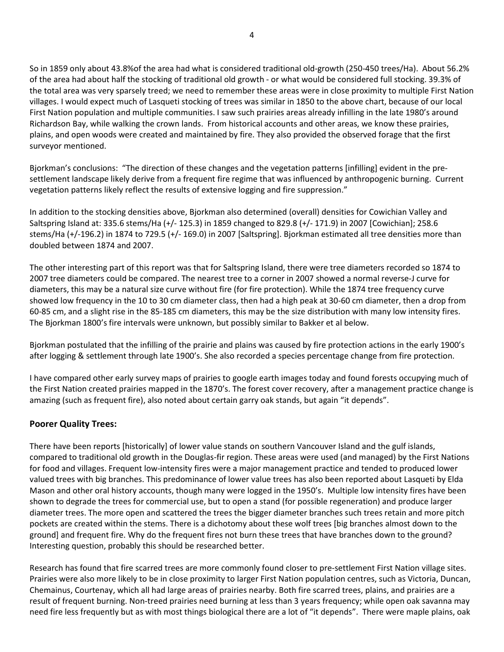So in 1859 only about 43.8%of the area had what is considered traditional old-growth (250-450 trees/Ha). About 56.2% of the area had about half the stocking of traditional old growth - or what would be considered full stocking. 39.3% of the total area was very sparsely treed; we need to remember these areas were in close proximity to multiple First Nation villages. I would expect much of Lasqueti stocking of trees was similar in 1850 to the above chart, because of our local First Nation population and multiple communities. I saw such prairies areas already infilling in the late 1980's around Richardson Bay, while walking the crown lands. From historical accounts and other areas, we know these prairies, plains, and open woods were created and maintained by fire. They also provided the observed forage that the first surveyor mentioned.

Bjorkman's conclusions: "The direction of these changes and the vegetation patterns [infilling] evident in the presettlement landscape likely derive from a frequent fire regime that was influenced by anthropogenic burning. Current vegetation patterns likely reflect the results of extensive logging and fire suppression."

In addition to the stocking densities above, Bjorkman also determined (overall) densities for Cowichian Valley and Saltspring Island at: 335.6 stems/Ha (+/- 125.3) in 1859 changed to 829.8 (+/- 171.9) in 2007 [Cowichian]; 258.6 stems/Ha (+/-196.2) in 1874 to 729.5 (+/- 169.0) in 2007 [Saltspring]. Bjorkman estimated all tree densities more than doubled between 1874 and 2007.

The other interesting part of this report was that for Saltspring Island, there were tree diameters recorded so 1874 to 2007 tree diameters could be compared. The nearest tree to a corner in 2007 showed a normal reverse-J curve for diameters, this may be a natural size curve without fire (for fire protection). While the 1874 tree frequency curve showed low frequency in the 10 to 30 cm diameter class, then had a high peak at 30-60 cm diameter, then a drop from 60-85 cm, and a slight rise in the 85-185 cm diameters, this may be the size distribution with many low intensity fires. The Bjorkman 1800's fire intervals were unknown, but possibly similar to Bakker et al below.

Bjorkman postulated that the infilling of the prairie and plains was caused by fire protection actions in the early 1900's after logging & settlement through late 1900's. She also recorded a species percentage change from fire protection.

I have compared other early survey maps of prairies to google earth images today and found forests occupying much of the First Nation created prairies mapped in the 1870's. The forest cover recovery, after a management practice change is amazing (such as frequent fire), also noted about certain garry oak stands, but again "it depends".

## Poorer Quality Trees:

There have been reports [historically] of lower value stands on southern Vancouver Island and the gulf islands, compared to traditional old growth in the Douglas-fir region. These areas were used (and managed) by the First Nations for food and villages. Frequent low-intensity fires were a major management practice and tended to produced lower valued trees with big branches. This predominance of lower value trees has also been reported about Lasqueti by Elda Mason and other oral history accounts, though many were logged in the 1950's. Multiple low intensity fires have been shown to degrade the trees for commercial use, but to open a stand (for possible regeneration) and produce larger diameter trees. The more open and scattered the trees the bigger diameter branches such trees retain and more pitch pockets are created within the stems. There is a dichotomy about these wolf trees [big branches almost down to the ground] and frequent fire. Why do the frequent fires not burn these trees that have branches down to the ground? Interesting question, probably this should be researched better.

Research has found that fire scarred trees are more commonly found closer to pre-settlement First Nation village sites. Prairies were also more likely to be in close proximity to larger First Nation population centres, such as Victoria, Duncan, Chemainus, Courtenay, which all had large areas of prairies nearby. Both fire scarred trees, plains, and prairies are a result of frequent burning. Non-treed prairies need burning at less than 3 years frequency; while open oak savanna may need fire less frequently but as with most things biological there are a lot of "it depends". There were maple plains, oak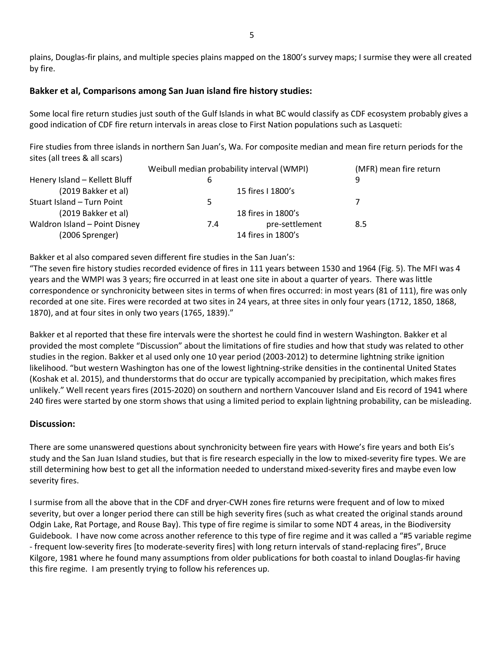plains, Douglas-fir plains, and multiple species plains mapped on the 1800's survey maps; I surmise they were all created by fire.

## Bakker et al, Comparisons among San Juan island fire history studies:

Some local fire return studies just south of the Gulf Islands in what BC would classify as CDF ecosystem probably gives a good indication of CDF fire return intervals in areas close to First Nation populations such as Lasqueti:

Fire studies from three islands in northern San Juan's, Wa. For composite median and mean fire return periods for the sites (all trees & all scars)

|                               | Weibull median probability interval (WMPI) |                    | (MFR) mean fire return |  |
|-------------------------------|--------------------------------------------|--------------------|------------------------|--|
| Henery Island - Kellett Bluff | 6                                          |                    | q                      |  |
| (2019 Bakker et al)           |                                            | 15 fires I 1800's  |                        |  |
| Stuart Island - Turn Point    | כ                                          |                    |                        |  |
| (2019 Bakker et al)           |                                            | 18 fires in 1800's |                        |  |
| Waldron Island - Point Disney | 7.4                                        | pre-settlement     | 8.5                    |  |
| (2006 Sprenger)               |                                            | 14 fires in 1800's |                        |  |

Bakker et al also compared seven different fire studies in the San Juan's:

"The seven fire history studies recorded evidence of fires in 111 years between 1530 and 1964 (Fig. 5). The MFI was 4 years and the WMPI was 3 years; fire occurred in at least one site in about a quarter of years. There was little correspondence or synchronicity between sites in terms of when fires occurred: in most years (81 of 111), fire was only recorded at one site. Fires were recorded at two sites in 24 years, at three sites in only four years (1712, 1850, 1868, 1870), and at four sites in only two years (1765, 1839)."

Bakker et al reported that these fire intervals were the shortest he could find in western Washington. Bakker et al provided the most complete "Discussion" about the limitations of fire studies and how that study was related to other studies in the region. Bakker et al used only one 10 year period (2003-2012) to determine lightning strike ignition likelihood. "but western Washington has one of the lowest lightning-strike densities in the continental United States (Koshak et al. 2015), and thunderstorms that do occur are typically accompanied by precipitation, which makes fires unlikely." Well recent years fires (2015-2020) on southern and northern Vancouver Island and Eis record of 1941 where 240 fires were started by one storm shows that using a limited period to explain lightning probability, can be misleading.

## Discussion:

There are some unanswered questions about synchronicity between fire years with Howe's fire years and both Eis's study and the San Juan Island studies, but that is fire research especially in the low to mixed-severity fire types. We are still determining how best to get all the information needed to understand mixed-severity fires and maybe even low severity fires.

I surmise from all the above that in the CDF and dryer-CWH zones fire returns were frequent and of low to mixed severity, but over a longer period there can still be high severity fires (such as what created the original stands around Odgin Lake, Rat Portage, and Rouse Bay). This type of fire regime is similar to some NDT 4 areas, in the Biodiversity Guidebook. I have now come across another reference to this type of fire regime and it was called a "#5 variable regime - frequent low-severity fires [to moderate-severity fires] with long return intervals of stand-replacing fires", Bruce Kilgore, 1981 where he found many assumptions from older publications for both coastal to inland Douglas-fir having this fire regime. I am presently trying to follow his references up.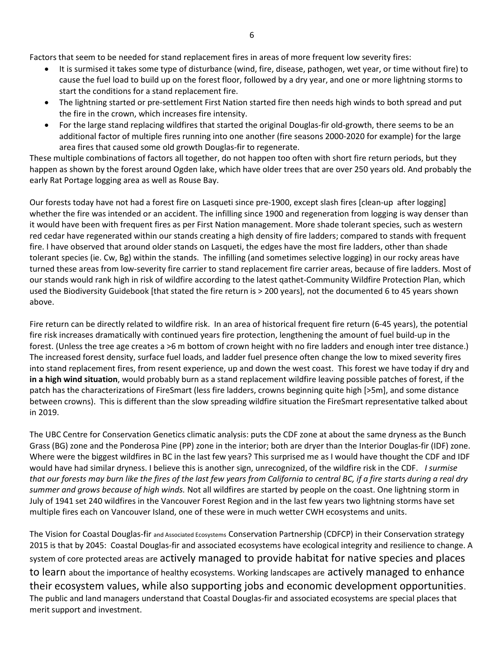Factors that seem to be needed for stand replacement fires in areas of more frequent low severity fires:

- It is surmised it takes some type of disturbance (wind, fire, disease, pathogen, wet year, or time without fire) to cause the fuel load to build up on the forest floor, followed by a dry year, and one or more lightning storms to start the conditions for a stand replacement fire.
- The lightning started or pre-settlement First Nation started fire then needs high winds to both spread and put the fire in the crown, which increases fire intensity.
- For the large stand replacing wildfires that started the original Douglas-fir old-growth, there seems to be an additional factor of multiple fires running into one another (fire seasons 2000-2020 for example) for the large area fires that caused some old growth Douglas-fir to regenerate.

These multiple combinations of factors all together, do not happen too often with short fire return periods, but they happen as shown by the forest around Ogden lake, which have older trees that are over 250 years old. And probably the early Rat Portage logging area as well as Rouse Bay.

Our forests today have not had a forest fire on Lasqueti since pre-1900, except slash fires [clean-up after logging] whether the fire was intended or an accident. The infilling since 1900 and regeneration from logging is way denser than it would have been with frequent fires as per First Nation management. More shade tolerant species, such as western red cedar have regenerated within our stands creating a high density of fire ladders; compared to stands with frequent fire. I have observed that around older stands on Lasqueti, the edges have the most fire ladders, other than shade tolerant species (ie. Cw, Bg) within the stands. The infilling (and sometimes selective logging) in our rocky areas have turned these areas from low-severity fire carrier to stand replacement fire carrier areas, because of fire ladders. Most of our stands would rank high in risk of wildfire according to the latest qathet-Community Wildfire Protection Plan, which used the Biodiversity Guidebook [that stated the fire return is > 200 years], not the documented 6 to 45 years shown above.

Fire return can be directly related to wildfire risk. In an area of historical frequent fire return (6-45 years), the potential fire risk increases dramatically with continued years fire protection, lengthening the amount of fuel build-up in the forest. (Unless the tree age creates a >6 m bottom of crown height with no fire ladders and enough inter tree distance.) The increased forest density, surface fuel loads, and ladder fuel presence often change the low to mixed severity fires into stand replacement fires, from resent experience, up and down the west coast. This forest we have today if dry and in a high wind situation, would probably burn as a stand replacement wildfire leaving possible patches of forest, if the patch has the characterizations of FireSmart (less fire ladders, crowns beginning quite high [>5m], and some distance between crowns). This is different than the slow spreading wildfire situation the FireSmart representative talked about in 2019.

The UBC Centre for Conservation Genetics climatic analysis: puts the CDF zone at about the same dryness as the Bunch Grass (BG) zone and the Ponderosa Pine (PP) zone in the interior; both are dryer than the Interior Douglas-fir (IDF) zone. Where were the biggest wildfires in BC in the last few years? This surprised me as I would have thought the CDF and IDF would have had similar dryness. I believe this is another sign, unrecognized, of the wildfire risk in the CDF. I surmise that our forests may burn like the fires of the last few years from California to central BC, if a fire starts during a real dry summer and grows because of high winds. Not all wildfires are started by people on the coast. One lightning storm in July of 1941 set 240 wildfires in the Vancouver Forest Region and in the last few years two lightning storms have set multiple fires each on Vancouver Island, one of these were in much wetter CWH ecosystems and units.

The Vision for Coastal Douglas-fir and Associated Ecosystems Conservation Partnership (CDFCP) in their Conservation strategy 2015 is that by 2045: Coastal Douglas-fir and associated ecosystems have ecological integrity and resilience to change. A system of core protected areas are actively managed to provide habitat for native species and places to learn about the importance of healthy ecosystems. Working landscapes are actively managed to enhance their ecosystem values, while also supporting jobs and economic development opportunities. The public and land managers understand that Coastal Douglas-fir and associated ecosystems are special places that merit support and investment.